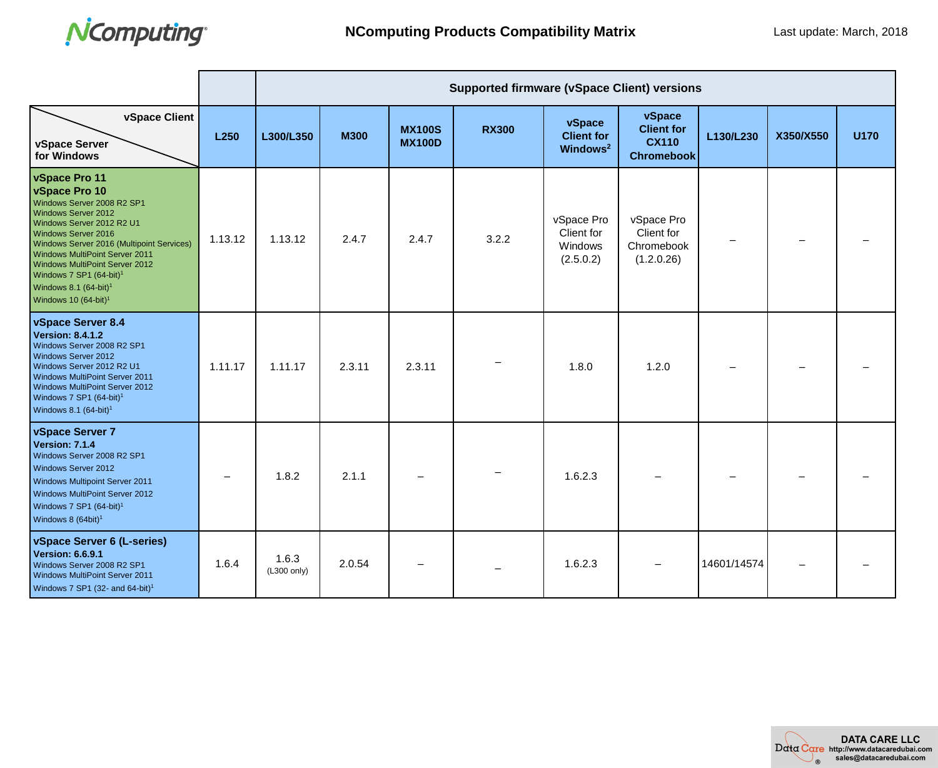

|                                                                                                                                                                                                                                                                                                                                                                                                            |                   | <b>Supported firmware (vSpace Client) versions</b> |             |                                |              |                                                  |                                                                  |             |           |             |
|------------------------------------------------------------------------------------------------------------------------------------------------------------------------------------------------------------------------------------------------------------------------------------------------------------------------------------------------------------------------------------------------------------|-------------------|----------------------------------------------------|-------------|--------------------------------|--------------|--------------------------------------------------|------------------------------------------------------------------|-------------|-----------|-------------|
| vSpace Client<br>vSpace Server<br>for Windows                                                                                                                                                                                                                                                                                                                                                              | L <sub>250</sub>  | L300/L350                                          | <b>M300</b> | <b>MX100S</b><br><b>MX100D</b> | <b>RX300</b> | vSpace<br><b>Client for</b><br>Windows $2$       | vSpace<br><b>Client for</b><br><b>CX110</b><br><b>Chromebook</b> | L130/L230   | X350/X550 | <b>U170</b> |
| vSpace Pro 11<br>vSpace Pro 10<br>Windows Server 2008 R2 SP1<br><b>Windows Server 2012</b><br>Windows Server 2012 R2 U1<br><b>Windows Server 2016</b><br>Windows Server 2016 (Multipoint Services)<br><b>Windows MultiPoint Server 2011</b><br><b>Windows MultiPoint Server 2012</b><br>Windows 7 SP1 (64-bit) <sup>1</sup><br>Windows 8.1 $(64$ -bit) <sup>1</sup><br>Windows 10 $(64$ -bit) <sup>1</sup> | 1.13.12           | 1.13.12                                            | 2.4.7       | 2.4.7                          | 3.2.2        | vSpace Pro<br>Client for<br>Windows<br>(2.5.0.2) | vSpace Pro<br>Client for<br>Chromebook<br>(1.2.0.26)             |             |           |             |
| vSpace Server 8.4<br><b>Version: 8.4.1.2</b><br>Windows Server 2008 R2 SP1<br>Windows Server 2012<br>Windows Server 2012 R2 U1<br><b>Windows MultiPoint Server 2011</b><br>Windows MultiPoint Server 2012<br>Windows 7 SP1 (64-bit) <sup>1</sup><br>Windows 8.1 $(64-bit)^1$                                                                                                                               | 1.11.17           | 1.11.17                                            | 2.3.11      | 2.3.11                         |              | 1.8.0                                            | 1.2.0                                                            |             |           |             |
| vSpace Server 7<br><b>Version: 7.1.4</b><br>Windows Server 2008 R2 SP1<br>Windows Server 2012<br>Windows Multipoint Server 2011<br><b>Windows MultiPoint Server 2012</b><br>Windows 7 SP1 (64-bit) <sup>1</sup><br>Windows 8 (64bit) <sup>1</sup>                                                                                                                                                          | $\qquad \qquad -$ | 1.8.2                                              | 2.1.1       |                                |              | 1.6.2.3                                          |                                                                  |             |           |             |
| vSpace Server 6 (L-series)<br><b>Version: 6.6.9.1</b><br>Windows Server 2008 R2 SP1<br><b>Windows MultiPoint Server 2011</b><br>Windows 7 SP1 (32- and 64-bit) <sup>1</sup>                                                                                                                                                                                                                                | 1.6.4             | 1.6.3<br>(L300 only)                               | 2.0.54      |                                |              | 1.6.2.3                                          |                                                                  | 14601/14574 |           |             |

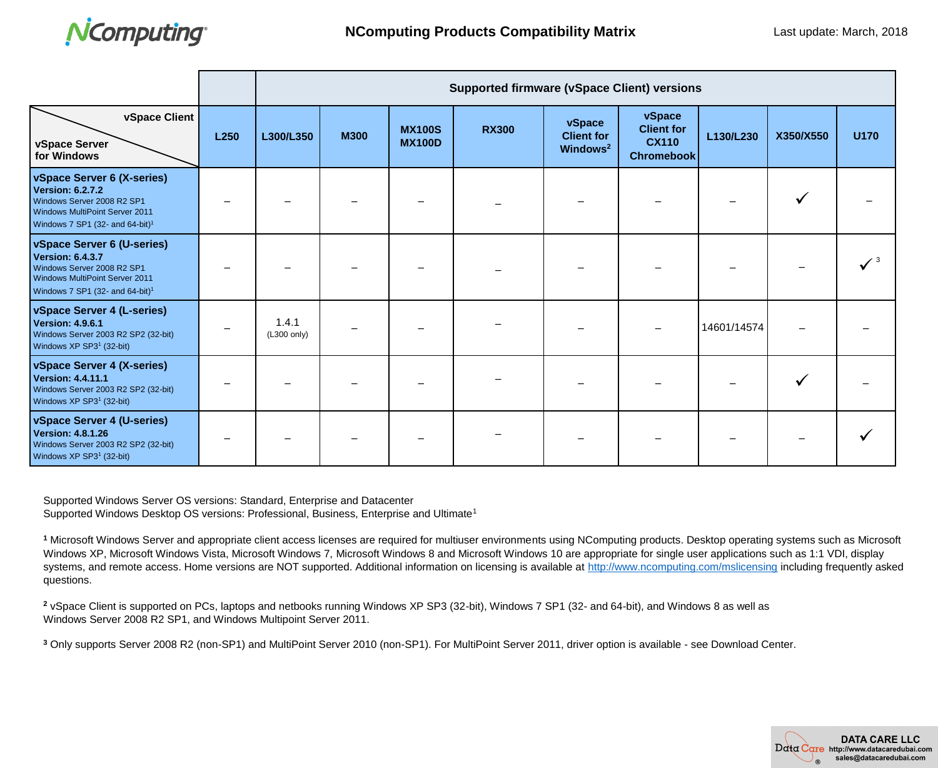

|                                                                                                                                                                             |      | <b>Supported firmware (vSpace Client) versions</b> |             |                                |              |                                                     |                                                                  |             |           |             |
|-----------------------------------------------------------------------------------------------------------------------------------------------------------------------------|------|----------------------------------------------------|-------------|--------------------------------|--------------|-----------------------------------------------------|------------------------------------------------------------------|-------------|-----------|-------------|
| vSpace Client<br>vSpace Server<br>for Windows                                                                                                                               | L250 | L300/L350                                          | <b>M300</b> | <b>MX100S</b><br><b>MX100D</b> | <b>RX300</b> | vSpace<br><b>Client for</b><br>Windows <sup>2</sup> | vSpace<br><b>Client for</b><br><b>CX110</b><br><b>Chromebook</b> | L130/L230   | X350/X550 | <b>U170</b> |
| vSpace Server 6 (X-series)<br><b>Version: 6.2.7.2</b><br>Windows Server 2008 R2 SP1<br><b>Windows MultiPoint Server 2011</b><br>Windows 7 SP1 (32- and 64-bit) <sup>1</sup> |      |                                                    |             |                                |              |                                                     |                                                                  |             |           |             |
| vSpace Server 6 (U-series)<br><b>Version: 6.4.3.7</b><br>Windows Server 2008 R2 SP1<br>Windows MultiPoint Server 2011<br>Windows 7 SP1 (32- and 64-bit) <sup>1</sup>        |      |                                                    |             |                                |              |                                                     |                                                                  |             |           |             |
| vSpace Server 4 (L-series)<br><b>Version: 4.9.6.1</b><br>Windows Server 2003 R2 SP2 (32-bit)<br>Windows XP SP3 <sup>1</sup> (32-bit)                                        |      | 1.4.1<br>(L300 only)                               |             |                                |              |                                                     |                                                                  | 14601/14574 |           |             |
| vSpace Server 4 (X-series)<br><b>Version: 4.4.11.1</b><br>Windows Server 2003 R2 SP2 (32-bit)<br>Windows XP SP3 <sup>1</sup> (32-bit)                                       |      |                                                    |             |                                |              |                                                     |                                                                  |             |           |             |
| vSpace Server 4 (U-series)<br><b>Version: 4.8.1.26</b><br>Windows Server 2003 R2 SP2 (32-bit)<br>Windows XP SP3 <sup>1</sup> (32-bit)                                       |      |                                                    |             |                                |              |                                                     |                                                                  |             |           |             |

Supported Windows Server OS versions: Standard, Enterprise and Datacenter Supported Windows Desktop OS versions: Professional, Business, Enterprise and Ultimate<sup>1</sup>

**<sup>1</sup>** Microsoft Windows Server and appropriate client access licenses are required for multiuser environments using NComputing products. Desktop operating systems such as Microsoft Windows XP, Microsoft Windows Vista, Microsoft Windows 7, Microsoft Windows 8 and Microsoft Windows 10 are appropriate for single user applications such as 1:1 VDI, display systems, and remote access. Home versions are NOT supported. Additional information on licensing is available at<http://www.ncomputing.com/mslicensing> including frequently asked questions.

**<sup>2</sup>** vSpace Client is supported on PCs, laptops and netbooks running Windows XP SP3 (32-bit), Windows 7 SP1 (32- and 64-bit), and Windows 8 as well as Windows Server 2008 R2 SP1, and Windows Multipoint Server 2011.

**<sup>3</sup>** Only supports Server 2008 R2 (non-SP1) and MultiPoint Server 2010 (non-SP1). For MultiPoint Server 2011, driver option is available - see Download Center.

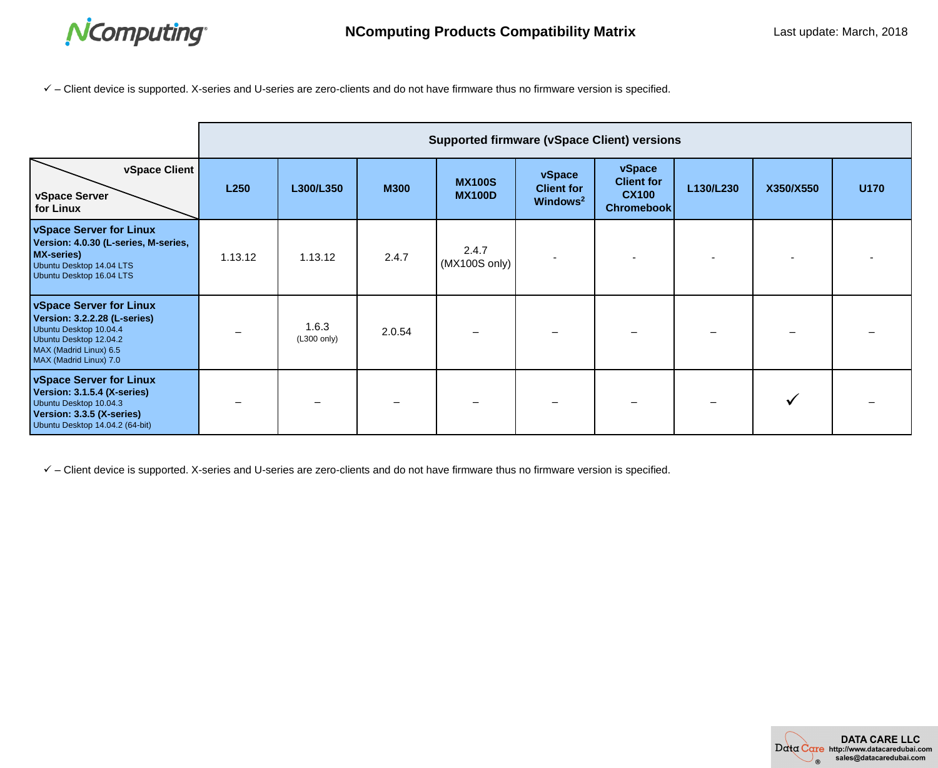

✓ – Client device is supported. X-series and U-series are zero-clients and do not have firmware thus no firmware version is specified.

|                                                                                                                                                                        | <b>Supported firmware (vSpace Client) versions</b> |                                |             |                                |                                                     |                                                                  |           |           |      |  |  |
|------------------------------------------------------------------------------------------------------------------------------------------------------------------------|----------------------------------------------------|--------------------------------|-------------|--------------------------------|-----------------------------------------------------|------------------------------------------------------------------|-----------|-----------|------|--|--|
| vSpace Client<br>vSpace Server<br>for Linux                                                                                                                            | L <sub>250</sub>                                   | L300/L350                      | <b>M300</b> | <b>MX100S</b><br><b>MX100D</b> | vSpace<br><b>Client for</b><br>Windows <sup>2</sup> | vSpace<br><b>Client for</b><br><b>CX100</b><br><b>Chromebook</b> | L130/L230 | X350/X550 | U170 |  |  |
| vSpace Server for Linux<br>Version: 4.0.30 (L-series, M-series,<br><b>MX-series)</b><br>Ubuntu Desktop 14.04 LTS<br>Ubuntu Desktop 16.04 LTS                           | 1.13.12                                            | 1.13.12                        | 2.4.7       | 2.4.7<br>(MX100S only)         |                                                     |                                                                  |           |           |      |  |  |
| vSpace Server for Linux<br><b>Version: 3.2.2.28 (L-series)</b><br>Ubuntu Desktop 10.04.4<br>Ubuntu Desktop 12.04.2<br>MAX (Madrid Linux) 6.5<br>MAX (Madrid Linux) 7.0 |                                                    | 1.6.3<br>$(L300 \text{ only})$ | 2.0.54      |                                |                                                     |                                                                  |           |           |      |  |  |
| vSpace Server for Linux<br>Version: 3.1.5.4 (X-series)<br>Ubuntu Desktop 10.04.3<br>Version: 3.3.5 (X-series)<br>Ubuntu Desktop 14.04.2 (64-bit)                       |                                                    |                                |             |                                |                                                     |                                                                  |           |           |      |  |  |

✓ – Client device is supported. X-series and U-series are zero-clients and do not have firmware thus no firmware version is specified.